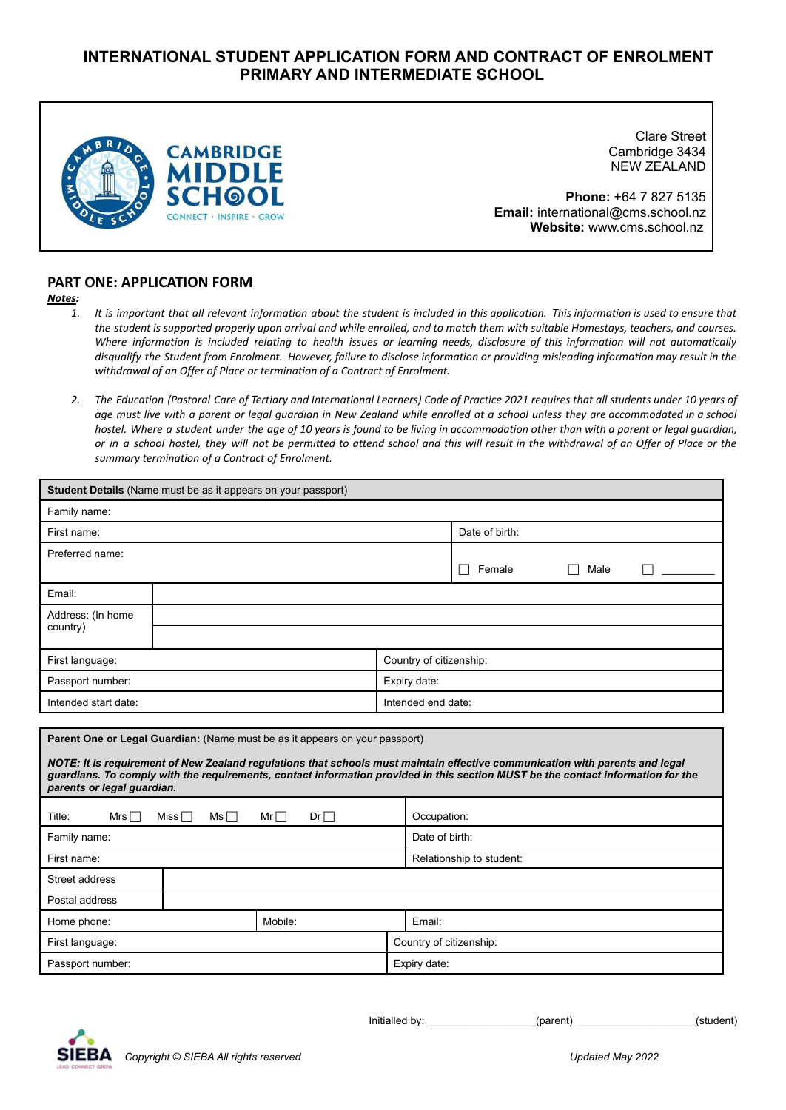# **INTERNATIONAL STUDENT APPLICATION FORM AND CONTRACT OF ENROLMENT PRIMARY AND INTERMEDIATE SCHOOL**



Clare Street Cambridge 3434 NEW ZEALAND

**Phone:** +64 7 827 5135 **Email:** international@cms.school.nz **Website:** www.cms.school.nz

# **PART ONE: APPLICATION FORM**

# *Notes:*

- 1. It is important that all relevant information about the student is included in this application. This information is used to ensure that the student is supported properly upon arrival and while enrolled, and to match them with suitable Homestays, teachers, and courses. Where information is included relating to health issues or learning needs, disclosure of this information will not automatically disqualify the Student from Enrolment. However, failure to disclose information or providing misleading information may result in the *withdrawal of an Offer of Place or termination of a Contract of Enrolment.*
- 2. The Education (Pastoral Care of Tertiary and International Learners) Code of Practice 2021 requires that all students under 10 years of age must live with a parent or legal quardian in New Zealand while enrolled at a school unless they are accommodated in a school hostel. Where a student under the age of 10 years is found to be living in accommodation other than with a parent or legal guardian, or in a school hostel, they will not be permitted to attend school and this will result in the withdrawal of an Offer of Place or the *summary termination of a Contract of Enrolment.*

| <b>Student Details</b> (Name must be as it appears on your passport) |                          |                                                                             |                          |                                                                                                                                                                                                                                                                  |  |  |
|----------------------------------------------------------------------|--------------------------|-----------------------------------------------------------------------------|--------------------------|------------------------------------------------------------------------------------------------------------------------------------------------------------------------------------------------------------------------------------------------------------------|--|--|
| Family name:                                                         |                          |                                                                             |                          |                                                                                                                                                                                                                                                                  |  |  |
| First name:                                                          |                          |                                                                             |                          | Date of birth:                                                                                                                                                                                                                                                   |  |  |
| Preferred name:                                                      |                          |                                                                             |                          |                                                                                                                                                                                                                                                                  |  |  |
|                                                                      |                          |                                                                             |                          | Female<br>Male<br>$\blacksquare$                                                                                                                                                                                                                                 |  |  |
| Email:                                                               |                          |                                                                             |                          |                                                                                                                                                                                                                                                                  |  |  |
| Address: (In home                                                    |                          |                                                                             |                          |                                                                                                                                                                                                                                                                  |  |  |
| country)                                                             |                          |                                                                             |                          |                                                                                                                                                                                                                                                                  |  |  |
| First language:                                                      |                          |                                                                             | Country of citizenship:  |                                                                                                                                                                                                                                                                  |  |  |
| Passport number:                                                     |                          |                                                                             | Expiry date:             |                                                                                                                                                                                                                                                                  |  |  |
| Intended start date:                                                 |                          |                                                                             | Intended end date:       |                                                                                                                                                                                                                                                                  |  |  |
|                                                                      |                          |                                                                             |                          |                                                                                                                                                                                                                                                                  |  |  |
|                                                                      |                          | Parent One or Legal Guardian: (Name must be as it appears on your passport) |                          |                                                                                                                                                                                                                                                                  |  |  |
| parents or legal guardian.                                           |                          |                                                                             |                          | NOTE: It is requirement of New Zealand regulations that schools must maintain effective communication with parents and legal<br>guardians. To comply with the requirements, contact information provided in this section MUST be the contact information for the |  |  |
| Title:<br>Mrs $\Box$                                                 | Miss $\Box$<br>$Ms \Box$ | $Mr \Box$<br>$Dr \Box$                                                      | Occupation:              |                                                                                                                                                                                                                                                                  |  |  |
| Family name:                                                         |                          |                                                                             |                          | Date of birth:                                                                                                                                                                                                                                                   |  |  |
| First name:                                                          |                          |                                                                             | Relationship to student: |                                                                                                                                                                                                                                                                  |  |  |
| Street address                                                       |                          |                                                                             |                          |                                                                                                                                                                                                                                                                  |  |  |
| Postal address                                                       |                          |                                                                             |                          |                                                                                                                                                                                                                                                                  |  |  |
| Home phone:                                                          | Mobile:<br>Email:        |                                                                             |                          |                                                                                                                                                                                                                                                                  |  |  |
| First language:                                                      |                          |                                                                             | Country of citizenship:  |                                                                                                                                                                                                                                                                  |  |  |
| Passport number:<br>Expiry date:                                     |                          |                                                                             |                          |                                                                                                                                                                                                                                                                  |  |  |
|                                                                      |                          |                                                                             |                          |                                                                                                                                                                                                                                                                  |  |  |

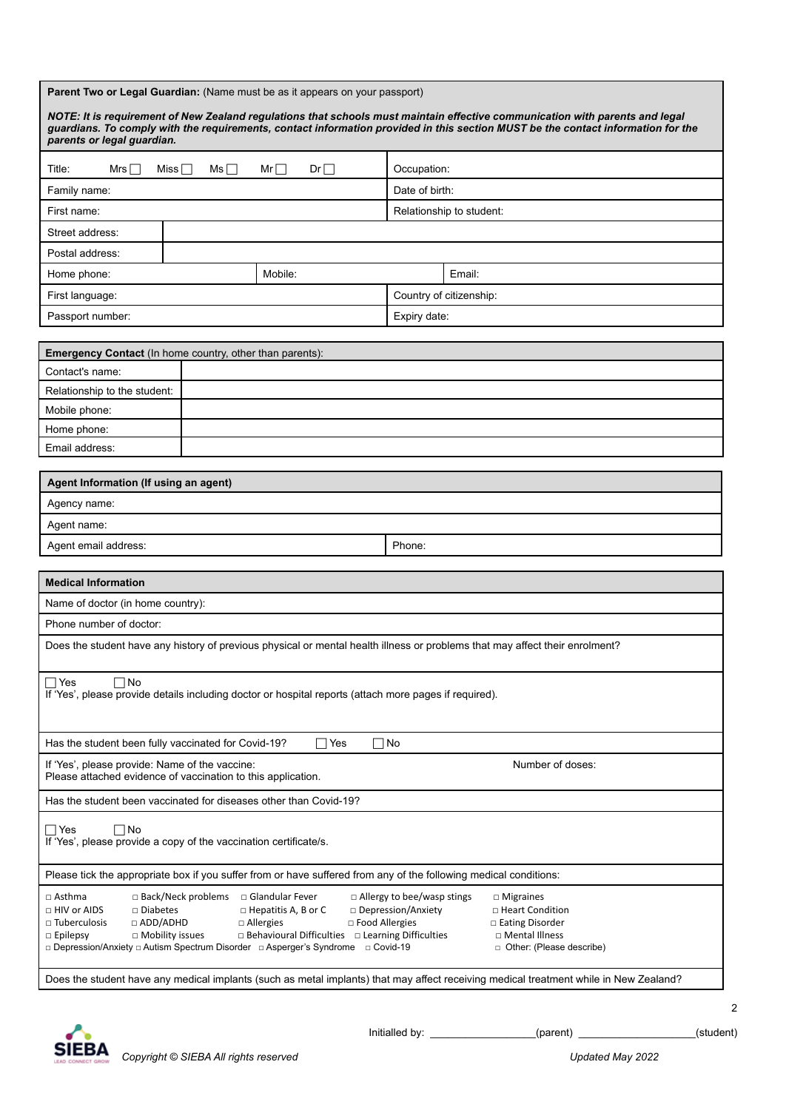| <b>Parent Two or Legal Guardian:</b> (Name must be as it appears on your passport) |  |  |
|------------------------------------------------------------------------------------|--|--|
|------------------------------------------------------------------------------------|--|--|

| NOTE: It is requirement of New Zealand regulations that schools must maintain effective communication with parents and legal<br>guardians. To comply with the requirements, contact information provided in this section MUST be the contact information for the<br>parents or legal guardian.                                                                                                                                                                                                                                                                                                                                                                                                                    |            |            |                |                                                                                                                              |
|-------------------------------------------------------------------------------------------------------------------------------------------------------------------------------------------------------------------------------------------------------------------------------------------------------------------------------------------------------------------------------------------------------------------------------------------------------------------------------------------------------------------------------------------------------------------------------------------------------------------------------------------------------------------------------------------------------------------|------------|------------|----------------|------------------------------------------------------------------------------------------------------------------------------|
| Title:<br>Mrs                                                                                                                                                                                                                                                                                                                                                                                                                                                                                                                                                                                                                                                                                                     | Miss<br>Ms | Dr<br>$Mr$ | Occupation:    |                                                                                                                              |
| Family name:                                                                                                                                                                                                                                                                                                                                                                                                                                                                                                                                                                                                                                                                                                      |            |            | Date of birth: |                                                                                                                              |
| First name:                                                                                                                                                                                                                                                                                                                                                                                                                                                                                                                                                                                                                                                                                                       |            |            |                | Relationship to student:                                                                                                     |
| Street address:                                                                                                                                                                                                                                                                                                                                                                                                                                                                                                                                                                                                                                                                                                   |            |            |                |                                                                                                                              |
| Postal address:                                                                                                                                                                                                                                                                                                                                                                                                                                                                                                                                                                                                                                                                                                   |            |            |                |                                                                                                                              |
| Home phone:                                                                                                                                                                                                                                                                                                                                                                                                                                                                                                                                                                                                                                                                                                       |            | Mobile:    |                | Email:                                                                                                                       |
| First language:                                                                                                                                                                                                                                                                                                                                                                                                                                                                                                                                                                                                                                                                                                   |            |            |                | Country of citizenship:                                                                                                      |
| Passport number:                                                                                                                                                                                                                                                                                                                                                                                                                                                                                                                                                                                                                                                                                                  |            |            | Expiry date:   |                                                                                                                              |
|                                                                                                                                                                                                                                                                                                                                                                                                                                                                                                                                                                                                                                                                                                                   |            |            |                |                                                                                                                              |
| Emergency Contact (In home country, other than parents):                                                                                                                                                                                                                                                                                                                                                                                                                                                                                                                                                                                                                                                          |            |            |                |                                                                                                                              |
| Contact's name:                                                                                                                                                                                                                                                                                                                                                                                                                                                                                                                                                                                                                                                                                                   |            |            |                |                                                                                                                              |
| Relationship to the student:<br>Mobile phone:                                                                                                                                                                                                                                                                                                                                                                                                                                                                                                                                                                                                                                                                     |            |            |                |                                                                                                                              |
| Home phone:                                                                                                                                                                                                                                                                                                                                                                                                                                                                                                                                                                                                                                                                                                       |            |            |                |                                                                                                                              |
| Email address:                                                                                                                                                                                                                                                                                                                                                                                                                                                                                                                                                                                                                                                                                                    |            |            |                |                                                                                                                              |
|                                                                                                                                                                                                                                                                                                                                                                                                                                                                                                                                                                                                                                                                                                                   |            |            |                |                                                                                                                              |
| Agent Information (If using an agent)                                                                                                                                                                                                                                                                                                                                                                                                                                                                                                                                                                                                                                                                             |            |            |                |                                                                                                                              |
| Agency name:                                                                                                                                                                                                                                                                                                                                                                                                                                                                                                                                                                                                                                                                                                      |            |            |                |                                                                                                                              |
| Agent name:                                                                                                                                                                                                                                                                                                                                                                                                                                                                                                                                                                                                                                                                                                       |            |            |                |                                                                                                                              |
| Agent email address:                                                                                                                                                                                                                                                                                                                                                                                                                                                                                                                                                                                                                                                                                              |            |            | Phone:         |                                                                                                                              |
| <b>Medical Information</b>                                                                                                                                                                                                                                                                                                                                                                                                                                                                                                                                                                                                                                                                                        |            |            |                |                                                                                                                              |
| Name of doctor (in home country):                                                                                                                                                                                                                                                                                                                                                                                                                                                                                                                                                                                                                                                                                 |            |            |                |                                                                                                                              |
| Phone number of doctor:                                                                                                                                                                                                                                                                                                                                                                                                                                                                                                                                                                                                                                                                                           |            |            |                |                                                                                                                              |
|                                                                                                                                                                                                                                                                                                                                                                                                                                                                                                                                                                                                                                                                                                                   |            |            |                | Does the student have any history of previous physical or mental health illness or problems that may affect their enrolment? |
|                                                                                                                                                                                                                                                                                                                                                                                                                                                                                                                                                                                                                                                                                                                   |            |            |                |                                                                                                                              |
| $\Box$ Yes<br>$\Box$ No<br>If 'Yes', please provide details including doctor or hospital reports (attach more pages if required).                                                                                                                                                                                                                                                                                                                                                                                                                                                                                                                                                                                 |            |            |                |                                                                                                                              |
| $\Box$ No<br>Has the student been fully vaccinated for Covid-19?<br>$\sqcap$ Yes                                                                                                                                                                                                                                                                                                                                                                                                                                                                                                                                                                                                                                  |            |            |                |                                                                                                                              |
| Number of doses:<br>If 'Yes', please provide: Name of the vaccine:<br>Please attached evidence of vaccination to this application.                                                                                                                                                                                                                                                                                                                                                                                                                                                                                                                                                                                |            |            |                |                                                                                                                              |
| Has the student been vaccinated for diseases other than Covid-19?                                                                                                                                                                                                                                                                                                                                                                                                                                                                                                                                                                                                                                                 |            |            |                |                                                                                                                              |
| ∏No<br>$\sqsupset$ Yes<br>If 'Yes', please provide a copy of the vaccination certificate/s.                                                                                                                                                                                                                                                                                                                                                                                                                                                                                                                                                                                                                       |            |            |                |                                                                                                                              |
| Please tick the appropriate box if you suffer from or have suffered from any of the following medical conditions:                                                                                                                                                                                                                                                                                                                                                                                                                                                                                                                                                                                                 |            |            |                |                                                                                                                              |
| □ Back/Neck problems<br>$\Box$ Allergy to bee/wasp stings<br>□ Asthma<br>□ Glandular Fever<br>$\Box$ Migraines<br>□ HIV or AIDS<br>□ Diabetes<br>□ Depression/Anxiety<br>$\Box$ Hepatitis A, B or C<br>□ Heart Condition<br>□ ADD/ADHD<br>□ Food Allergies<br>$\Box$ Tuberculosis<br>$\Box$ Allergies<br>$\Box$ Eating Disorder<br>□ Behavioural Difficulties □ Learning Difficulties<br>□ Mental Illness<br>$\Box$ Epilepsy<br>$\Box$ Mobility issues<br>□ Depression/Anxiety □ Autism Spectrum Disorder □ Asperger's Syndrome □ Covid-19<br>□ Other: (Please describe)<br>Does the student have any medical implants (such as metal implants) that may affect receiving medical treatment while in New Zealand? |            |            |                |                                                                                                                              |
|                                                                                                                                                                                                                                                                                                                                                                                                                                                                                                                                                                                                                                                                                                                   |            |            |                |                                                                                                                              |



Initialled by: \_\_\_\_\_\_\_\_\_\_\_\_\_\_\_\_\_\_(parent) \_\_\_\_\_\_\_\_\_\_\_\_\_\_\_\_\_\_\_\_(student)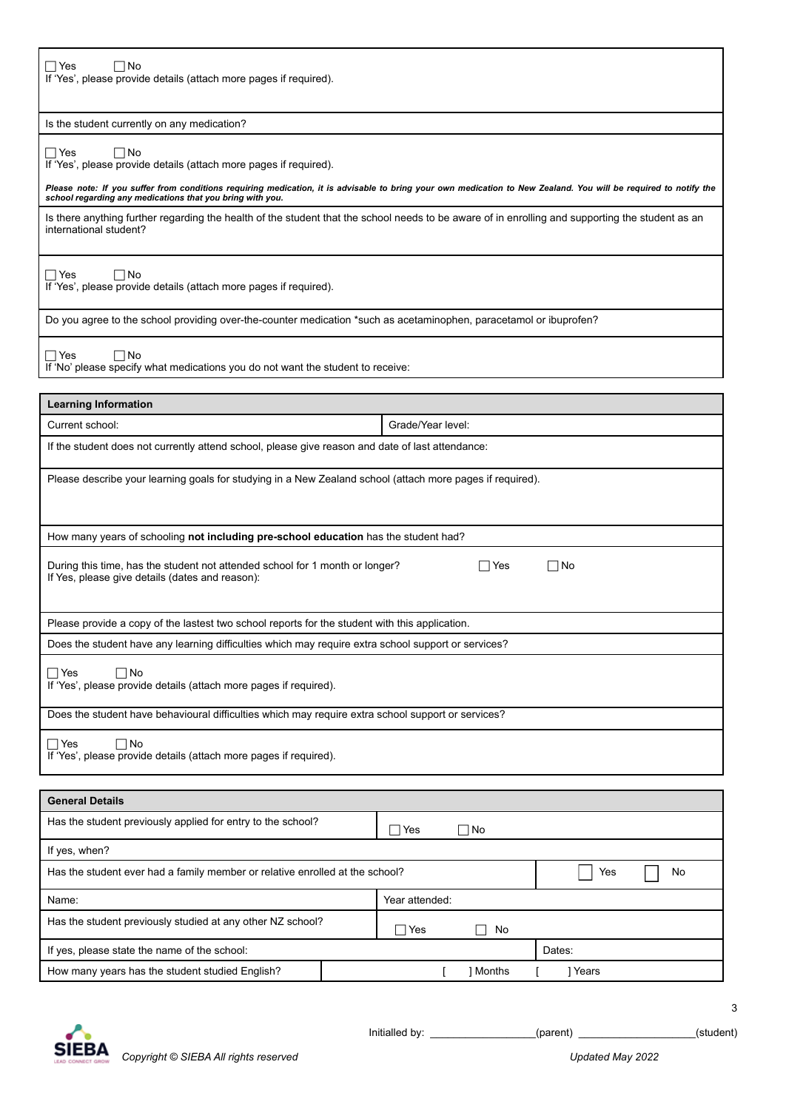# $\neg$  Yes  $\neg$  No

If 'Yes', please provide details (attach more pages if required).

## Is the student currently on any medication?

## $\Box$ Yes  $\Box$ No

If 'Yes', please provide details (attach more pages if required).

Please note: If you suffer from conditions requiring medication, it is advisable to bring your own medication to New Zealand. You will be required to notify the<br>school regarding any medications that you bring with you.

Is there anything further regarding the health of the student that the school needs to be aware of in enrolling and supporting the student as an international student?

 $\Box$  Yes  $\Box$  No If 'Yes', please provide details (attach more pages if required).

Do you agree to the school providing over-the-counter medication \*such as acetaminophen, paracetamol or ibuprofen?

 $\Box$ Yes  $\Box$ No

If 'No' please specify what medications you do not want the student to receive:

| <b>Learning Information</b>                                                                                                     |                   |  |  |  |
|---------------------------------------------------------------------------------------------------------------------------------|-------------------|--|--|--|
| Current school:                                                                                                                 | Grade/Year level: |  |  |  |
| If the student does not currently attend school, please give reason and date of last attendance:                                |                   |  |  |  |
| Please describe your learning goals for studying in a New Zealand school (attach more pages if required).                       |                   |  |  |  |
| How many years of schooling not including pre-school education has the student had?                                             |                   |  |  |  |
| During this time, has the student not attended school for 1 month or longer?<br>If Yes, please give details (dates and reason): | ∩No<br>Yes        |  |  |  |
| Please provide a copy of the lastest two school reports for the student with this application.                                  |                   |  |  |  |
| Does the student have any learning difficulties which may require extra school support or services?                             |                   |  |  |  |
| $\Box$ Yes<br>$\Box$ No<br>If 'Yes', please provide details (attach more pages if required).                                    |                   |  |  |  |
| Does the student have behavioural difficulties which may require extra school support or services?                              |                   |  |  |  |
| $\Box$ Yes<br>∩No<br>If 'Yes', please provide details (attach more pages if required).                                          |                   |  |  |  |

| <b>General Details</b>                                                       |  |                |  |               |       |  |
|------------------------------------------------------------------------------|--|----------------|--|---------------|-------|--|
| Has the student previously applied for entry to the school?                  |  | Yes            |  | $\Box$ No     |       |  |
| If yes, when?                                                                |  |                |  |               |       |  |
| Has the student ever had a family member or relative enrolled at the school? |  |                |  | Yes           | No.   |  |
| Name:                                                                        |  | Year attended: |  |               |       |  |
| Has the student previously studied at any other NZ school?                   |  | $\Box$ Yes     |  | No            |       |  |
| If yes, please state the name of the school:                                 |  |                |  | Dates:        |       |  |
| How many years has the student studied English?                              |  |                |  | <b>Months</b> | Years |  |

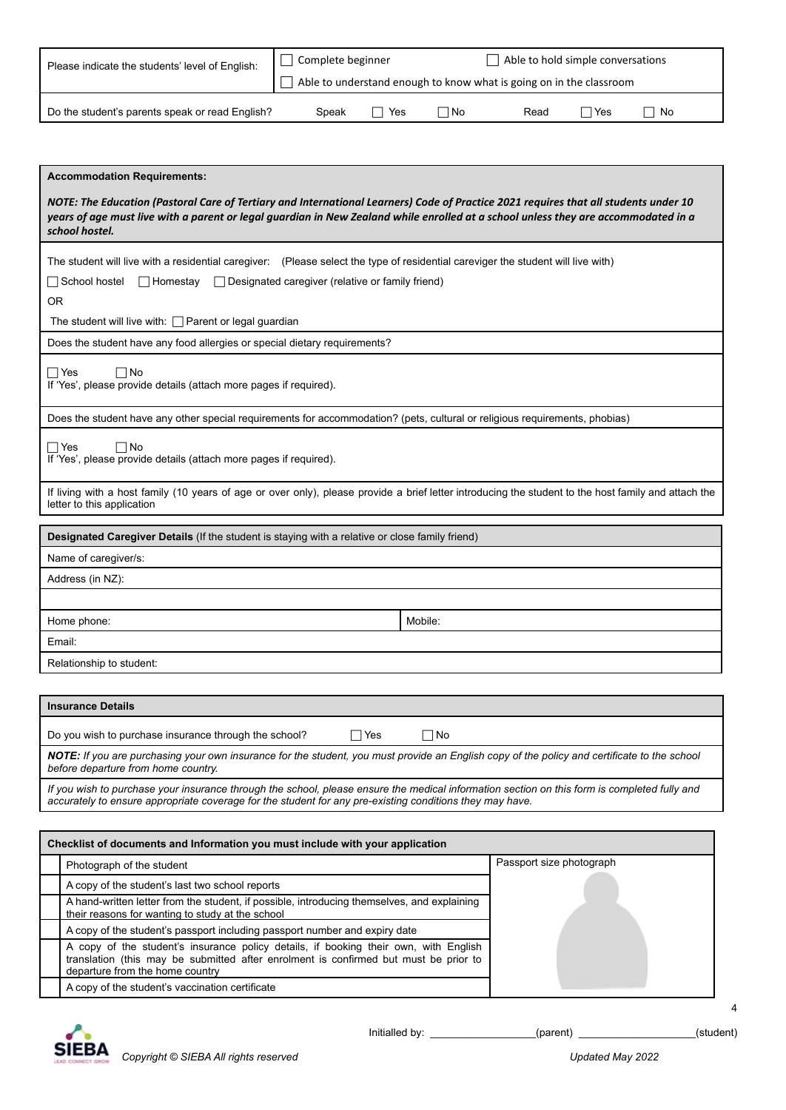| Please indicate the students' level of English: | Able to hold simple conversations<br>Complete beginner              |     |      |      |       |    |
|-------------------------------------------------|---------------------------------------------------------------------|-----|------|------|-------|----|
|                                                 | Able to understand enough to know what is going on in the classroom |     |      |      |       |    |
| Do the student's parents speak or read English? | Speak                                                               | Yes | l No | Read | ∩ Yes | No |

| <b>Accommodation Requirements:</b>                                                                                                                                                                                                                                                           |  |  |  |  |
|----------------------------------------------------------------------------------------------------------------------------------------------------------------------------------------------------------------------------------------------------------------------------------------------|--|--|--|--|
| NOTE: The Education (Pastoral Care of Tertiary and International Learners) Code of Practice 2021 requires that all students under 10<br>years of age must live with a parent or legal guardian in New Zealand while enrolled at a school unless they are accommodated in a<br>school hostel. |  |  |  |  |
| The student will live with a residential caregiver: (Please select the type of residential careviger the student will live with)<br>$\Box$ School hostel<br>$\Box$ Designated caregiver (relative or family friend)<br><b>□ Homestay</b><br><b>OR</b>                                        |  |  |  |  |
| The student will live with: $\Box$ Parent or legal guardian                                                                                                                                                                                                                                  |  |  |  |  |
| Does the student have any food allergies or special dietary requirements?                                                                                                                                                                                                                    |  |  |  |  |
| $\Box$ Yes<br>$\Box$ No<br>If 'Yes', please provide details (attach more pages if required).                                                                                                                                                                                                 |  |  |  |  |
| Does the student have any other special requirements for accommodation? (pets, cultural or religious requirements, phobias)                                                                                                                                                                  |  |  |  |  |
| $\Box$ Yes<br>⊟No<br>If 'Yes', please provide details (attach more pages if required).                                                                                                                                                                                                       |  |  |  |  |
| If living with a host family (10 years of age or over only), please provide a brief letter introducing the student to the host family and attach the<br>letter to this application                                                                                                           |  |  |  |  |
| Designated Caregiver Details (If the student is staying with a relative or close family friend)                                                                                                                                                                                              |  |  |  |  |
| Name of caregiver/s:                                                                                                                                                                                                                                                                         |  |  |  |  |
| Address (in NZ):                                                                                                                                                                                                                                                                             |  |  |  |  |
|                                                                                                                                                                                                                                                                                              |  |  |  |  |
| Mobile:<br>Home phone:                                                                                                                                                                                                                                                                       |  |  |  |  |
| Email:                                                                                                                                                                                                                                                                                       |  |  |  |  |
| Relationship to student:                                                                                                                                                                                                                                                                     |  |  |  |  |
|                                                                                                                                                                                                                                                                                              |  |  |  |  |
| <b>Insurance Details</b>                                                                                                                                                                                                                                                                     |  |  |  |  |

| Moundinos Doluno                                                                                                                                                                    |       |     |  |
|-------------------------------------------------------------------------------------------------------------------------------------------------------------------------------------|-------|-----|--|
| Do you wish to purchase insurance through the school?                                                                                                                               | l Yes | ∃No |  |
| NOTE: If you are purchasing your own insurance for the student, you must provide an English copy of the policy and certificate to the school<br>before departure from home country. |       |     |  |
|                                                                                                                                                                                     |       |     |  |

If you wish to purchase your insurance through the school, please ensure the medical information section on this form is completed fully and *accurately to ensure appropriate coverage for the student for any pre-existing conditions they may have.*

| Checklist of documents and Information you must include with your application                                                                                                                                   |                          |  |  |  |  |  |
|-----------------------------------------------------------------------------------------------------------------------------------------------------------------------------------------------------------------|--------------------------|--|--|--|--|--|
| Photograph of the student                                                                                                                                                                                       | Passport size photograph |  |  |  |  |  |
| A copy of the student's last two school reports                                                                                                                                                                 |                          |  |  |  |  |  |
| A hand-written letter from the student, if possible, introducing themselves, and explaining<br>their reasons for wanting to study at the school                                                                 |                          |  |  |  |  |  |
| A copy of the student's passport including passport number and expiry date                                                                                                                                      |                          |  |  |  |  |  |
| A copy of the student's insurance policy details, if booking their own, with English<br>translation (this may be submitted after enrolment is confirmed but must be prior to<br>departure from the home country |                          |  |  |  |  |  |
| A copy of the student's vaccination certificate                                                                                                                                                                 |                          |  |  |  |  |  |

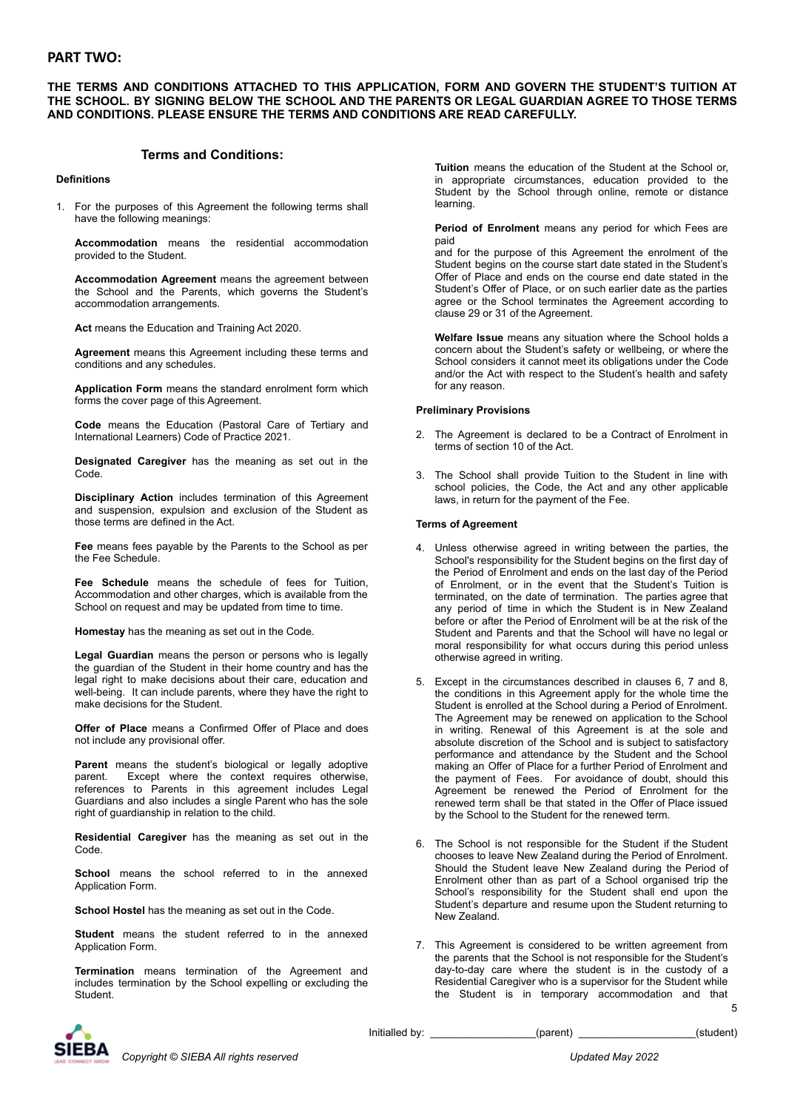# **PART TWO:**

## **THE TERMS AND CONDITIONS ATTACHED TO THIS APPLICATION, FORM AND GOVERN THE STUDENT'S TUITION AT THE SCHOOL. BY SIGNING BELOW THE SCHOOL AND THE PARENTS OR LEGAL GUARDIAN AGREE TO THOSE TERMS AND CONDITIONS. PLEASE ENSURE THE TERMS AND CONDITIONS ARE READ CAREFULLY.**

# **Terms and Conditions:**

## **Definitions**

1. For the purposes of this Agreement the following terms shall have the following meanings:

**Accommodation** means the residential accommodation provided to the Student.

**Accommodation Agreement** means the agreement between the School and the Parents, which governs the Student's accommodation arrangements.

**Act** means the Education and Training Act 2020.

**Agreement** means this Agreement including these terms and conditions and any schedules.

**Application Form** means the standard enrolment form which forms the cover page of this Agreement.

**Code** means the Education (Pastoral Care of Tertiary and International Learners) Code of Practice 2021.

**Designated Caregiver** has the meaning as set out in the Code.

**Disciplinary Action** includes termination of this Agreement and suspension, expulsion and exclusion of the Student as those terms are defined in the Act.

**Fee** means fees payable by the Parents to the School as per the Fee Schedule.

**Fee Schedule** means the schedule of fees for Tuition, Accommodation and other charges, which is available from the School on request and may be updated from time to time.

**Homestay** has the meaning as set out in the Code.

**Legal Guardian** means the person or persons who is legally the guardian of the Student in their home country and has the legal right to make decisions about their care, education and well-being. It can include parents, where they have the right to make decisions for the Student.

**Offer of Place** means a Confirmed Offer of Place and does not include any provisional offer.

**Parent** means the student's biological or legally adoptive parent. Except where the context requires otherwise, references to Parents in this agreement includes Legal Guardians and also includes a single Parent who has the sole right of guardianship in relation to the child.

**Residential Caregiver** has the meaning as set out in the Code.

**School** means the school referred to in the annexed Application Form.

**School Hostel** has the meaning as set out in the Code.

**Student** means the student referred to in the annexed Application Form.

**Termination** means termination of the Agreement and includes termination by the School expelling or excluding the **Student** 

**Tuition** means the education of the Student at the School or, in appropriate circumstances, education provided to the Student by the School through online, remote or distance learning.

**Period of Enrolment** means any period for which Fees are paid

and for the purpose of this Agreement the enrolment of the Student begins on the course start date stated in the Student's Offer of Place and ends on the course end date stated in the Student's Offer of Place, or on such earlier date as the parties agree or the School terminates the Agreement according to clause 29 or 31 of the Agreement.

**Welfare Issue** means any situation where the School holds a concern about the Student's safety or wellbeing, or where the School considers it cannot meet its obligations under the Code and/or the Act with respect to the Student's health and safety for any reason.

## **Preliminary Provisions**

- 2. The Agreement is declared to be a Contract of Enrolment in terms of section 10 of the Act.
- 3. The School shall provide Tuition to the Student in line with school policies, the Code, the Act and any other applicable laws, in return for the payment of the Fee.

#### **Terms of Agreement**

- 4. Unless otherwise agreed in writing between the parties, the School's responsibility for the Student begins on the first day of the Period of Enrolment and ends on the last day of the Period of Enrolment, or in the event that the Student's Tuition is terminated, on the date of termination. The parties agree that any period of time in which the Student is in New Zealand before or after the Period of Enrolment will be at the risk of the Student and Parents and that the School will have no legal or moral responsibility for what occurs during this period unless otherwise agreed in writing.
- 5. Except in the circumstances described in clauses 6, 7 and 8, the conditions in this Agreement apply for the whole time the Student is enrolled at the School during a Period of Enrolment. The Agreement may be renewed on application to the School in writing. Renewal of this Agreement is at the sole and absolute discretion of the School and is subject to satisfactory performance and attendance by the Student and the School making an Offer of Place for a further Period of Enrolment and the payment of Fees. For avoidance of doubt, should this Agreement be renewed the Period of Enrolment for the renewed term shall be that stated in the Offer of Place issued by the School to the Student for the renewed term.
- 6. The School is not responsible for the Student if the Student chooses to leave New Zealand during the Period of Enrolment. Should the Student leave New Zealand during the Period of Enrolment other than as part of a School organised trip the School's responsibility for the Student shall end upon the Student's departure and resume upon the Student returning to New Zealand.
- 7. This Agreement is considered to be written agreement from the parents that the School is not responsible for the Student's day-to-day care where the student is in the custody of a Residential Caregiver who is a supervisor for the Student while the Student is in temporary accommodation and that



*Copyright © SIEBA All rights reserved Updated May 2022*

Initialled by: \_\_\_\_\_\_\_\_\_\_\_\_\_\_\_\_\_\_(parent) \_\_\_\_\_\_\_\_\_\_\_\_\_\_\_\_\_\_\_(student)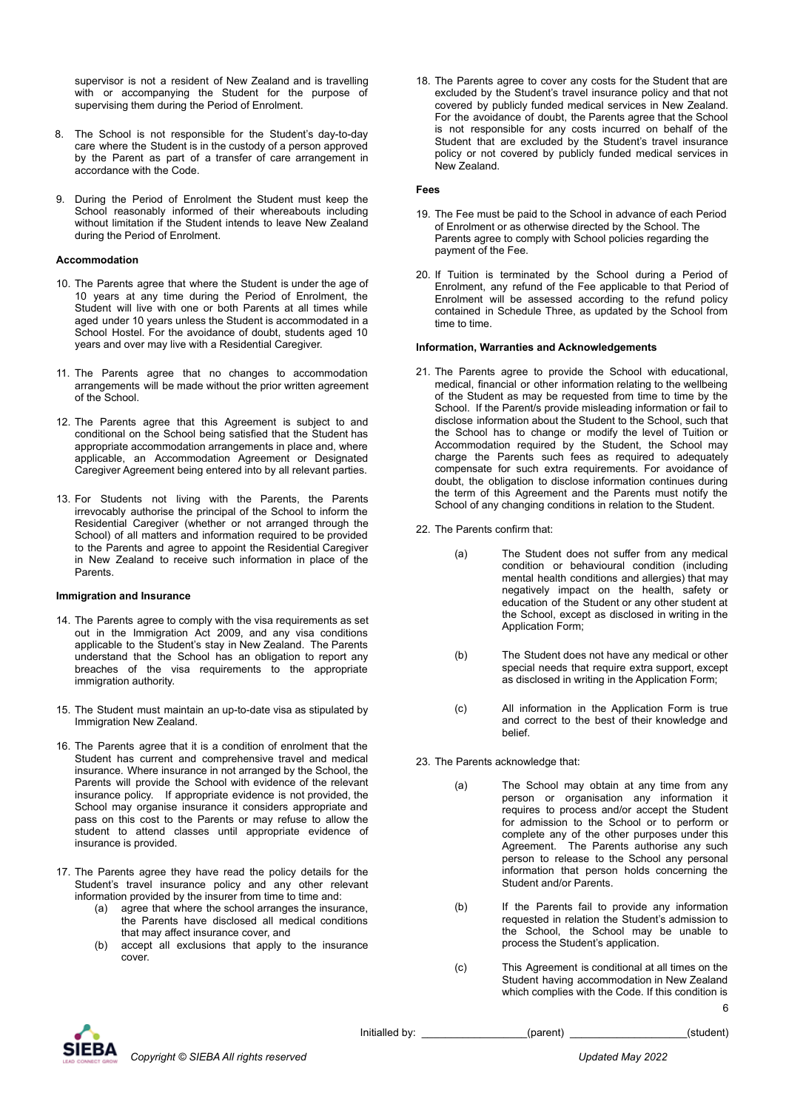supervisor is not a resident of New Zealand and is travelling with or accompanying the Student for the purpose of supervising them during the Period of Enrolment.

- 8. The School is not responsible for the Student's day-to-day care where the Student is in the custody of a person approved by the Parent as part of a transfer of care arrangement in accordance with the Code.
- 9. During the Period of Enrolment the Student must keep the School reasonably informed of their whereabouts including without limitation if the Student intends to leave New Zealand during the Period of Enrolment.

## **Accommodation**

- 10. The Parents agree that where the Student is under the age of 10 years at any time during the Period of Enrolment, the Student will live with one or both Parents at all times while aged under 10 years unless the Student is accommodated in a School Hostel. For the avoidance of doubt, students aged 10 years and over may live with a Residential Caregiver.
- 11. The Parents agree that no changes to accommodation arrangements will be made without the prior written agreement of the School.
- 12. The Parents agree that this Agreement is subject to and conditional on the School being satisfied that the Student has appropriate accommodation arrangements in place and, where applicable, an Accommodation Agreement or Designated Caregiver Agreement being entered into by all relevant parties.
- 13. For Students not living with the Parents, the Parents irrevocably authorise the principal of the School to inform the Residential Caregiver (whether or not arranged through the School) of all matters and information required to be provided to the Parents and agree to appoint the Residential Caregiver in New Zealand to receive such information in place of the Parents.

### **Immigration and Insurance**

- 14. The Parents agree to comply with the visa requirements as set out in the Immigration Act 2009, and any visa conditions applicable to the Student's stay in New Zealand. The Parents understand that the School has an obligation to report any breaches of the visa requirements to the appropriate immigration authority.
- 15. The Student must maintain an up-to-date visa as stipulated by Immigration New Zealand.
- 16. The Parents agree that it is a condition of enrolment that the Student has current and comprehensive travel and medical insurance. Where insurance in not arranged by the School, the Parents will provide the School with evidence of the relevant insurance policy. If appropriate evidence is not provided, the School may organise insurance it considers appropriate and pass on this cost to the Parents or may refuse to allow the student to attend classes until appropriate evidence of insurance is provided.
- 17. The Parents agree they have read the policy details for the Student's travel insurance policy and any other relevant information provided by the insurer from time to time and:
	- (a) agree that where the school arranges the insurance, the Parents have disclosed all medical conditions that may affect insurance cover, and
	- (b) accept all exclusions that apply to the insurance cover.

18. The Parents agree to cover any costs for the Student that are excluded by the Student's travel insurance policy and that not covered by publicly funded medical services in New Zealand. For the avoidance of doubt, the Parents agree that the School is not responsible for any costs incurred on behalf of the Student that are excluded by the Student's travel insurance policy or not covered by publicly funded medical services in New Zealand.

### **Fees**

- 19. The Fee must be paid to the School in advance of each Period of Enrolment or as otherwise directed by the School. The Parents agree to comply with School policies regarding the payment of the Fee.
- 20. If Tuition is terminated by the School during a Period of Enrolment, any refund of the Fee applicable to that Period of Enrolment will be assessed according to the refund policy contained in Schedule Three, as updated by the School from time to time.

#### **Information, Warranties and Acknowledgements**

- 21. The Parents agree to provide the School with educational, medical, financial or other information relating to the wellbeing of the Student as may be requested from time to time by the School. If the Parent/s provide misleading information or fail to disclose information about the Student to the School, such that the School has to change or modify the level of Tuition or Accommodation required by the Student, the School may charge the Parents such fees as required to adequately compensate for such extra requirements. For avoidance of doubt, the obligation to disclose information continues during the term of this Agreement and the Parents must notify the School of any changing conditions in relation to the Student.
- 22. The Parents confirm that:
	- (a) The Student does not suffer from any medical condition or behavioural condition (including mental health conditions and allergies) that may negatively impact on the health, safety or education of the Student or any other student at the School, except as disclosed in writing in the Application Form;
	- (b) The Student does not have any medical or other special needs that require extra support, except as disclosed in writing in the Application Form;
	- (c) All information in the Application Form is true and correct to the best of their knowledge and belief.
- 23. The Parents acknowledge that:
	- (a) The School may obtain at any time from any person or organisation any information it requires to process and/or accept the Student for admission to the School or to perform or complete any of the other purposes under this Agreement. The Parents authorise any such person to release to the School any personal information that person holds concerning the Student and/or Parents.
	- (b) If the Parents fail to provide any information requested in relation the Student's admission to the School, the School may be unable to process the Student's application.
	- (c) This Agreement is conditional at all times on the Student having accommodation in New Zealand which complies with the Code. If this condition is 6



Initialled by: \_\_\_\_\_\_\_\_\_\_\_\_\_\_\_\_\_\_(parent) \_\_\_\_\_\_\_\_\_\_\_\_\_\_\_\_\_\_(student)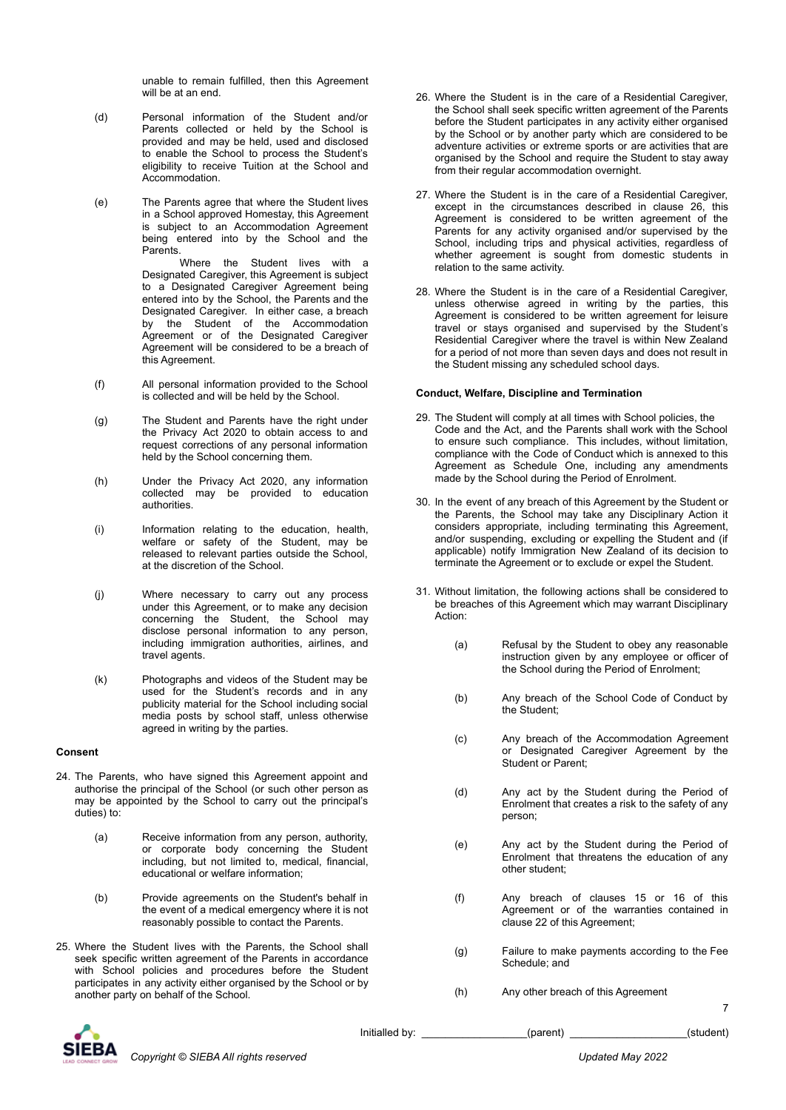unable to remain fulfilled, then this Agreement will be at an end.

- (d) Personal information of the Student and/or Parents collected or held by the School is provided and may be held, used and disclosed to enable the School to process the Student's eligibility to receive Tuition at the School and Accommodation.
- (e) The Parents agree that where the Student lives in a School approved Homestay, this Agreement is subject to an Accommodation Agreement being entered into by the School and the Parents.

Where the Student lives with a Designated Caregiver, this Agreement is subject to a Designated Caregiver Agreement being entered into by the School, the Parents and the Designated Caregiver. In either case, a breach by the Student of the Accommodation Agreement or of the Designated Caregiver Agreement will be considered to be a breach of this Agreement.

- (f) All personal information provided to the School is collected and will be held by the School.
- (g) The Student and Parents have the right under the Privacy Act 2020 to obtain access to and request corrections of any personal information held by the School concerning them.
- (h) Under the Privacy Act 2020, any information collected may be provided to education authorities.
- (i) Information relating to the education, health, welfare or safety of the Student, may be released to relevant parties outside the School, at the discretion of the School.
- (j) Where necessary to carry out any process under this Agreement, or to make any decision concerning the Student, the School may disclose personal information to any person, including immigration authorities, airlines, and travel agents.
- (k) Photographs and videos of the Student may be used for the Student's records and in any publicity material for the School including social media posts by school staff, unless otherwise agreed in writing by the parties.

### **Consent**

- 24. The Parents, who have signed this Agreement appoint and authorise the principal of the School (or such other person as may be appointed by the School to carry out the principal's duties) to:
	- (a) Receive information from any person, authority, or corporate body concerning the Student including, but not limited to, medical, financial, educational or welfare information;
	- (b) Provide agreements on the Student's behalf in the event of a medical emergency where it is not reasonably possible to contact the Parents.
- 25. Where the Student lives with the Parents, the School shall seek specific written agreement of the Parents in accordance with School policies and procedures before the Student participates in any activity either organised by the School or by another party on behalf of the School.
- 26. Where the Student is in the care of a Residential Caregiver, the School shall seek specific written agreement of the Parents before the Student participates in any activity either organised by the School or by another party which are considered to be adventure activities or extreme sports or are activities that are organised by the School and require the Student to stay away from their regular accommodation overnight.
- 27. Where the Student is in the care of a Residential Caregiver, except in the circumstances described in clause 26, this Agreement is considered to be written agreement of the Parents for any activity organised and/or supervised by the School, including trips and physical activities, regardless of whether agreement is sought from domestic students in relation to the same activity.
- 28. Where the Student is in the care of a Residential Caregiver, unless otherwise agreed in writing by the parties, this Agreement is considered to be written agreement for leisure travel or stays organised and supervised by the Student's Residential Caregiver where the travel is within New Zealand for a period of not more than seven days and does not result in the Student missing any scheduled school days.

## **Conduct, Welfare, Discipline and Termination**

- 29. The Student will comply at all times with School policies, the Code and the Act, and the Parents shall work with the School to ensure such compliance. This includes, without limitation, compliance with the Code of Conduct which is annexed to this Agreement as Schedule One, including any amendments made by the School during the Period of Enrolment.
- 30. In the event of any breach of this Agreement by the Student or the Parents, the School may take any Disciplinary Action it considers appropriate, including terminating this Agreement, and/or suspending, excluding or expelling the Student and (if applicable) notify Immigration New Zealand of its decision to terminate the Agreement or to exclude or expel the Student.
- 31. Without limitation, the following actions shall be considered to be breaches of this Agreement which may warrant Disciplinary Action:
	- (a) Refusal by the Student to obey any reasonable instruction given by any employee or officer of the School during the Period of Enrolment;
	- (b) Any breach of the School Code of Conduct by the Student;
	- (c) Any breach of the Accommodation Agreement or Designated Caregiver Agreement by the Student or Parent;
	- (d) Any act by the Student during the Period of Enrolment that creates a risk to the safety of any person;
	- (e) Any act by the Student during the Period of Enrolment that threatens the education of any other student;
	- (f) Any breach of clauses 15 or 16 of this Agreement or of the warranties contained in clause 22 of this Agreement;
	- (g) Failure to make payments according to the Fee Schedule; and
	- (h) Any other breach of this Agreement



Initialled by: \_\_\_\_\_\_\_\_\_\_\_\_\_\_\_\_\_\_\_(parent) \_\_\_\_\_\_\_\_\_\_\_\_\_\_\_\_\_\_\_\_(student)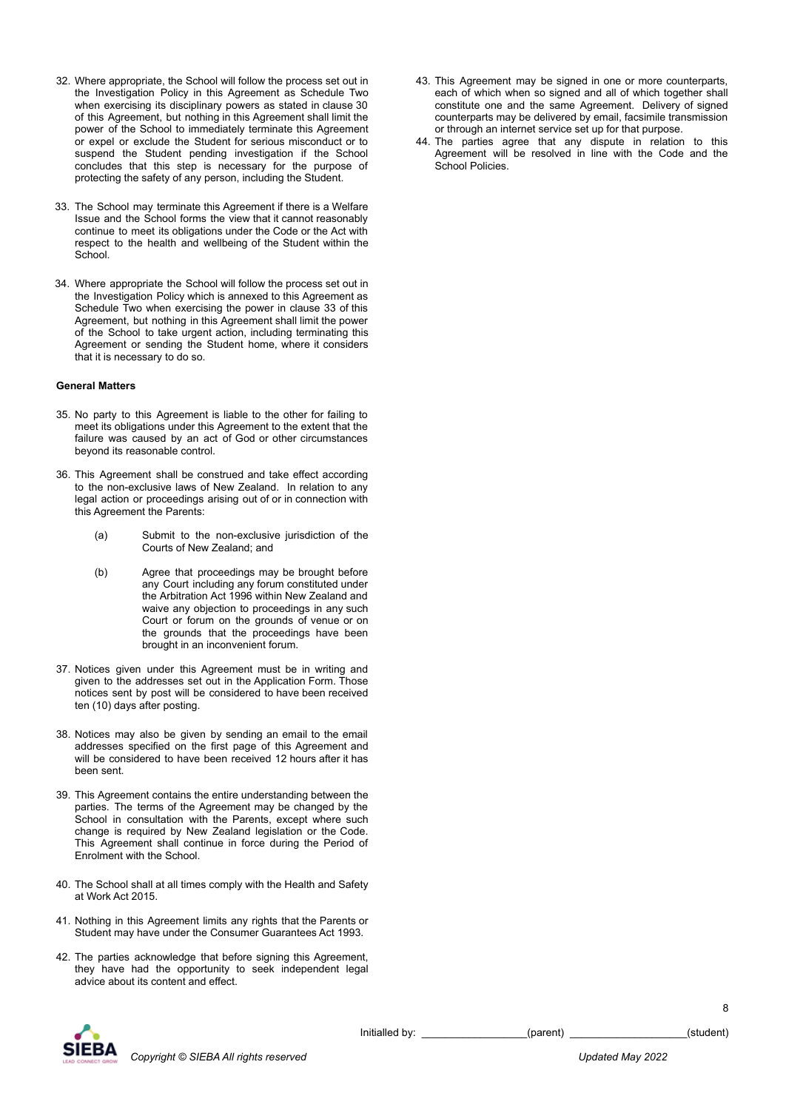- 32. Where appropriate, the School will follow the process set out in the Investigation Policy in this Agreement as Schedule Two when exercising its disciplinary powers as stated in clause 30 of this Agreement, but nothing in this Agreement shall limit the power of the School to immediately terminate this Agreement or expel or exclude the Student for serious misconduct or to suspend the Student pending investigation if the School concludes that this step is necessary for the purpose of protecting the safety of any person, including the Student.
- 33. The School may terminate this Agreement if there is a Welfare Issue and the School forms the view that it cannot reasonably continue to meet its obligations under the Code or the Act with respect to the health and wellbeing of the Student within the School.
- 34. Where appropriate the School will follow the process set out in the Investigation Policy which is annexed to this Agreement as Schedule Two when exercising the power in clause 33 of this Agreement, but nothing in this Agreement shall limit the power of the School to take urgent action, including terminating this Agreement or sending the Student home, where it considers that it is necessary to do so.

#### **General Matters**

- 35. No party to this Agreement is liable to the other for failing to meet its obligations under this Agreement to the extent that the failure was caused by an act of God or other circumstances beyond its reasonable control.
- 36. This Agreement shall be construed and take effect according to the non-exclusive laws of New Zealand. In relation to any legal action or proceedings arising out of or in connection with this Agreement the Parents:
	- (a) Submit to the non-exclusive jurisdiction of the Courts of New Zealand; and
	- (b) Agree that proceedings may be brought before any Court including any forum constituted under the Arbitration Act 1996 within New Zealand and waive any objection to proceedings in any such Court or forum on the grounds of venue or on the grounds that the proceedings have been brought in an inconvenient forum.
- 37. Notices given under this Agreement must be in writing and given to the addresses set out in the Application Form. Those notices sent by post will be considered to have been received ten (10) days after posting.
- 38. Notices may also be given by sending an email to the email addresses specified on the first page of this Agreement and will be considered to have been received 12 hours after it has been sent.
- 39. This Agreement contains the entire understanding between the parties. The terms of the Agreement may be changed by the School in consultation with the Parents, except where such change is required by New Zealand legislation or the Code. This Agreement shall continue in force during the Period of Enrolment with the School.
- 40. The School shall at all times comply with the Health and Safety at Work Act 2015.
- 41. Nothing in this Agreement limits any rights that the Parents or Student may have under the Consumer Guarantees Act 1993.
- 42. The parties acknowledge that before signing this Agreement, they have had the opportunity to seek independent legal advice about its content and effect.
- 43. This Agreement may be signed in one or more counterparts, each of which when so signed and all of which together shall constitute one and the same Agreement. Delivery of signed counterparts may be delivered by email, facsimile transmission or through an internet service set up for that purpose.
- 44. The parties agree that any dispute in relation to this Agreement will be resolved in line with the Code and the School Policies.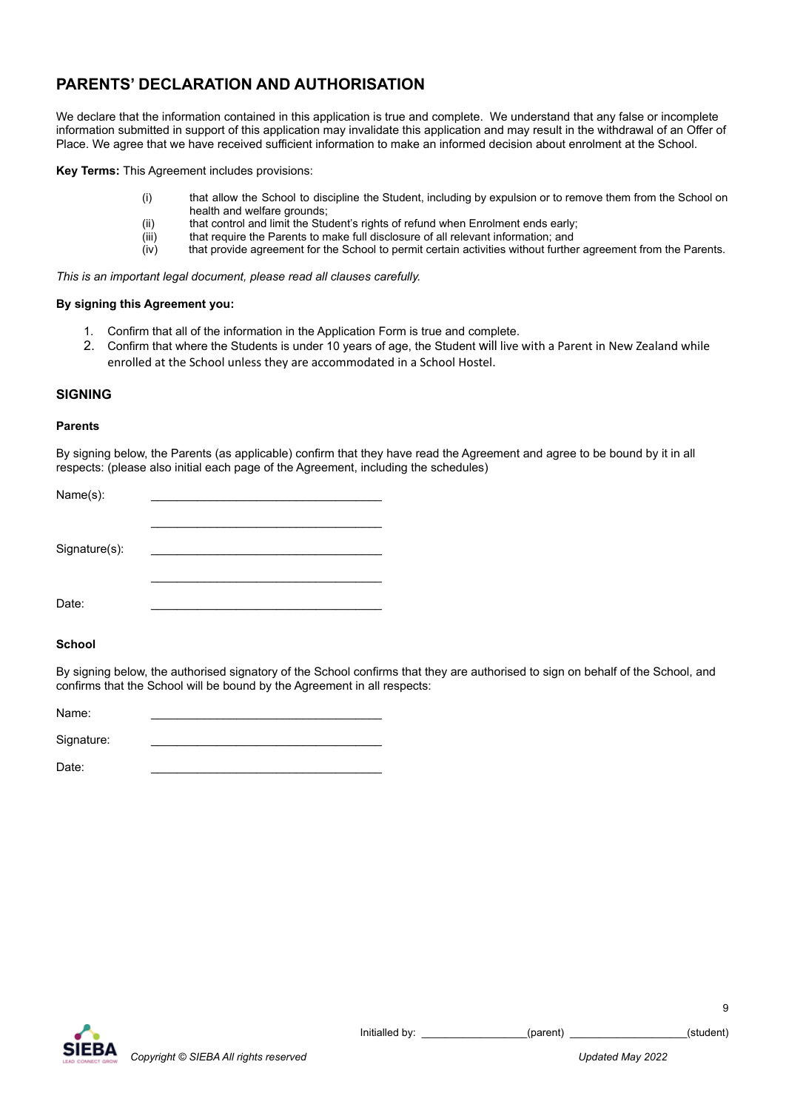# **PARENTS' DECLARATION AND AUTHORISATION**

We declare that the information contained in this application is true and complete. We understand that any false or incomplete information submitted in support of this application may invalidate this application and may result in the withdrawal of an Offer of Place. We agree that we have received sufficient information to make an informed decision about enrolment at the School.

**Key Terms:** This Agreement includes provisions:

- (i) that allow the School to discipline the Student, including by expulsion or to remove them from the School on health and welfare grounds;
- (ii) that control and limit the Student's rights of refund when Enrolment ends early;<br>(iii) that require the Parents to make full disclosure of all relevant information; and
- that require the Parents to make full disclosure of all relevant information; and
- (iv) that provide agreement for the School to permit certain activities without further agreement from the Parents.

*This is an important legal document, please read all clauses carefully.*

## **By signing this Agreement you:**

- 1. Confirm that all of the information in the Application Form is true and complete.
- 2. Confirm that where the Students is under 10 years of age, the Student will live with a Parent in New Zealand while enrolled at the School unless they are accommodated in a School Hostel.

# **SIGNING**

# **Parents**

By signing below, the Parents (as applicable) confirm that they have read the Agreement and agree to be bound by it in all respects: (please also initial each page of the Agreement, including the schedules)

| Name(s):      |  |
|---------------|--|
| Signature(s): |  |
| Date:         |  |

# **School**

By signing below, the authorised signatory of the School confirms that they are authorised to sign on behalf of the School, and confirms that the School will be bound by the Agreement in all respects:

| Name:      |  |
|------------|--|
| Signature: |  |

Date: \_\_\_\_\_\_\_\_\_\_\_\_\_\_\_\_\_\_\_\_\_\_\_\_\_\_\_\_\_\_\_\_\_\_\_

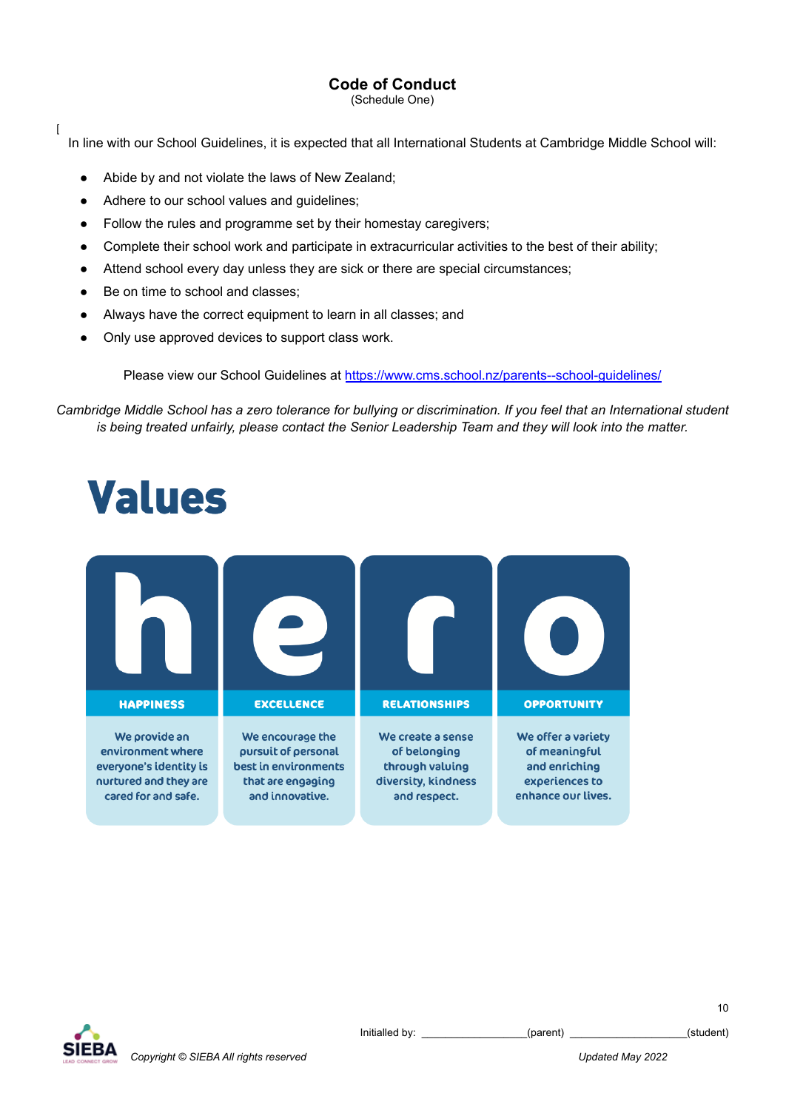# **Code of Conduct**

(Schedule One)

In line with our School Guidelines, it is expected that all International Students at Cambridge Middle School will:

- Abide by and not violate the laws of New Zealand;
- Adhere to our school values and guidelines;
- Follow the rules and programme set by their homestay caregivers;
- Complete their school work and participate in extracurricular activities to the best of their ability;
- Attend school every day unless they are sick or there are special circumstances;
- Be on time to school and classes;

 $\overline{1}$ 

- Always have the correct equipment to learn in all classes; and
- Only use approved devices to support class work.

Please view our School Guidelines at <https://www.cms.school.nz/parents--school-guidelines/>

Cambridge Middle School has a zero tolerance for bullying or discrimination. If you feel that an International student *is being treated unfairly, please contact the Senior Leadership Team and they will look into the matter.*

# **Values**





Initialled by: \_\_\_\_\_\_\_\_\_\_\_\_\_\_\_\_\_\_(parent) \_\_\_\_\_\_\_\_\_\_\_\_\_\_\_\_\_\_\_\_\_(student)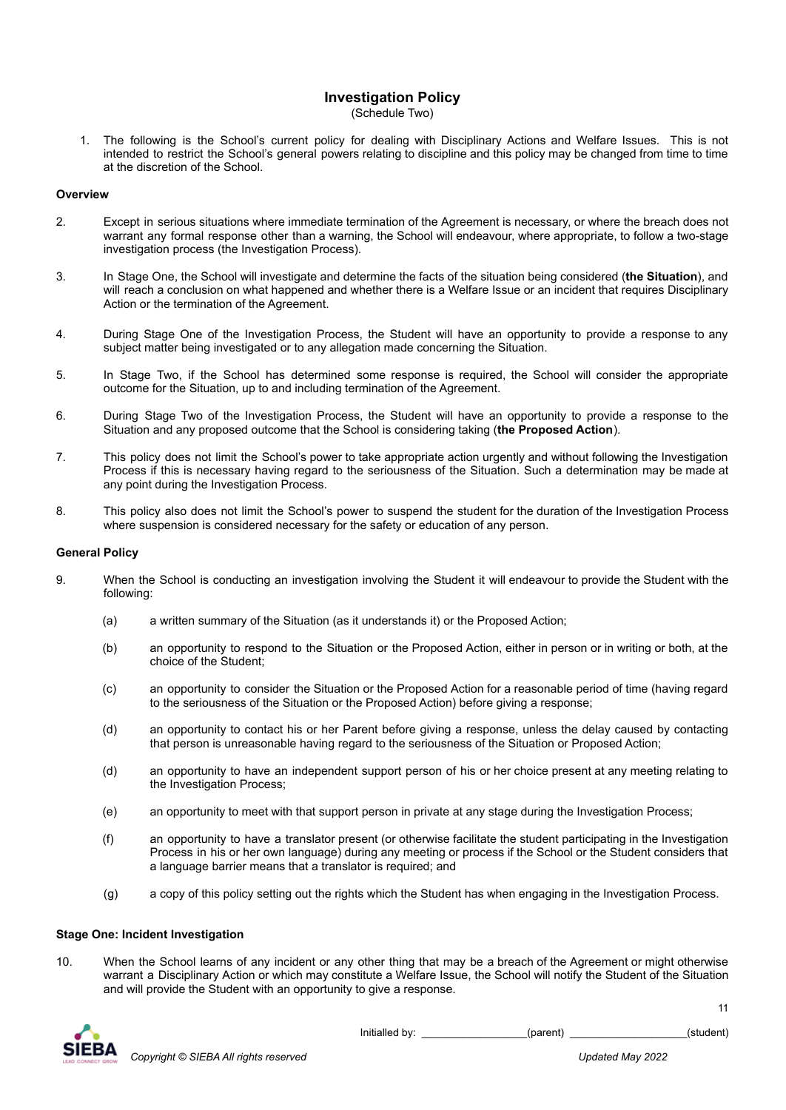# **Investigation Policy**

(Schedule Two)

1. The following is the School's current policy for dealing with Disciplinary Actions and Welfare Issues. This is not intended to restrict the School's general powers relating to discipline and this policy may be changed from time to time at the discretion of the School.

# **Overview**

- 2. Except in serious situations where immediate termination of the Agreement is necessary, or where the breach does not warrant any formal response other than a warning, the School will endeavour, where appropriate, to follow a two-stage investigation process (the Investigation Process).
- 3. In Stage One, the School will investigate and determine the facts of the situation being considered (**the Situation**), and will reach a conclusion on what happened and whether there is a Welfare Issue or an incident that requires Disciplinary Action or the termination of the Agreement.
- 4. During Stage One of the Investigation Process, the Student will have an opportunity to provide a response to any subject matter being investigated or to any allegation made concerning the Situation.
- 5. In Stage Two, if the School has determined some response is required, the School will consider the appropriate outcome for the Situation, up to and including termination of the Agreement.
- 6. During Stage Two of the Investigation Process, the Student will have an opportunity to provide a response to the Situation and any proposed outcome that the School is considering taking (**the Proposed Action**).
- 7. This policy does not limit the School's power to take appropriate action urgently and without following the Investigation Process if this is necessary having regard to the seriousness of the Situation. Such a determination may be made at any point during the Investigation Process.
- 8. This policy also does not limit the School's power to suspend the student for the duration of the Investigation Process where suspension is considered necessary for the safety or education of any person.

## **General Policy**

- 9. When the School is conducting an investigation involving the Student it will endeavour to provide the Student with the following:
	- (a) a written summary of the Situation (as it understands it) or the Proposed Action;
	- (b) an opportunity to respond to the Situation or the Proposed Action, either in person or in writing or both, at the choice of the Student;
	- (c) an opportunity to consider the Situation or the Proposed Action for a reasonable period of time (having regard to the seriousness of the Situation or the Proposed Action) before giving a response;
	- (d) an opportunity to contact his or her Parent before giving a response, unless the delay caused by contacting that person is unreasonable having regard to the seriousness of the Situation or Proposed Action;
	- (d) an opportunity to have an independent support person of his or her choice present at any meeting relating to the Investigation Process;
	- (e) an opportunity to meet with that support person in private at any stage during the Investigation Process;
	- (f) an opportunity to have a translator present (or otherwise facilitate the student participating in the Investigation Process in his or her own language) during any meeting or process if the School or the Student considers that a language barrier means that a translator is required; and
	- (g) a copy of this policy setting out the rights which the Student has when engaging in the Investigation Process.

## **Stage One: Incident Investigation**

10. When the School learns of any incident or any other thing that may be a breach of the Agreement or might otherwise warrant a Disciplinary Action or which may constitute a Welfare Issue, the School will notify the Student of the Situation and will provide the Student with an opportunity to give a response.



Initialled by:  $(parent)$  (parent) (student)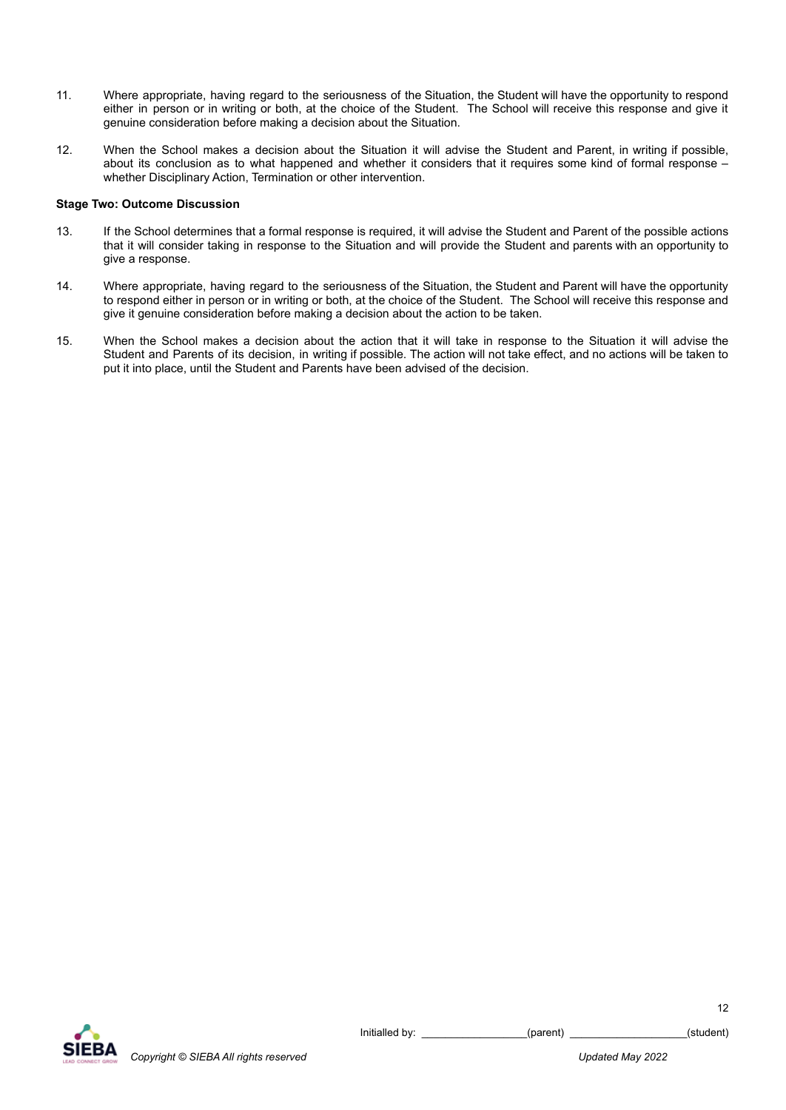- 11. Where appropriate, having regard to the seriousness of the Situation, the Student will have the opportunity to respond either in person or in writing or both, at the choice of the Student. The School will receive this response and give it genuine consideration before making a decision about the Situation.
- 12. When the School makes a decision about the Situation it will advise the Student and Parent, in writing if possible, about its conclusion as to what happened and whether it considers that it requires some kind of formal response – whether Disciplinary Action, Termination or other intervention.

## **Stage Two: Outcome Discussion**

- 13. If the School determines that a formal response is required, it will advise the Student and Parent of the possible actions that it will consider taking in response to the Situation and will provide the Student and parents with an opportunity to give a response.
- 14. Where appropriate, having regard to the seriousness of the Situation, the Student and Parent will have the opportunity to respond either in person or in writing or both, at the choice of the Student. The School will receive this response and give it genuine consideration before making a decision about the action to be taken.
- 15. When the School makes a decision about the action that it will take in response to the Situation it will advise the Student and Parents of its decision, in writing if possible. The action will not take effect, and no actions will be taken to put it into place, until the Student and Parents have been advised of the decision.

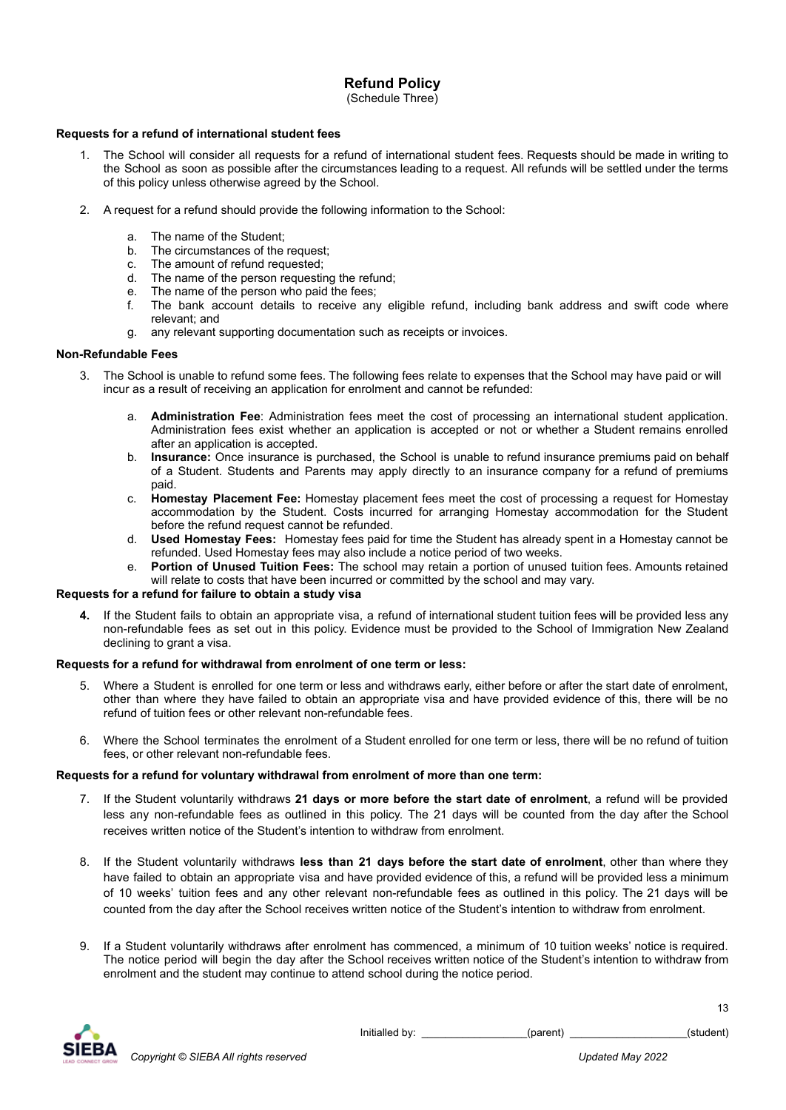# **Refund Policy**

(Schedule Three)

# **Requests for a refund of international student fees**

- 1. The School will consider all requests for a refund of international student fees. Requests should be made in writing to the School as soon as possible after the circumstances leading to a request. All refunds will be settled under the terms of this policy unless otherwise agreed by the School.
- 2. A request for a refund should provide the following information to the School:
	-
	- a. The name of the Student;<br>b. The circumstances of the The circumstances of the request;
	- c. The amount of refund requested;
	- d. The name of the person requesting the refund;
	- e. The name of the person who paid the fees;
	- f. The bank account details to receive any eligible refund, including bank address and swift code where relevant; and
	- g. any relevant supporting documentation such as receipts or invoices.

# **Non-Refundable Fees**

- 3. The School is unable to refund some fees. The following fees relate to expenses that the School may have paid or will incur as a result of receiving an application for enrolment and cannot be refunded:
	- a. **Administration Fee**: Administration fees meet the cost of processing an international student application. Administration fees exist whether an application is accepted or not or whether a Student remains enrolled after an application is accepted.
	- b. **Insurance:** Once insurance is purchased, the School is unable to refund insurance premiums paid on behalf of a Student. Students and Parents may apply directly to an insurance company for a refund of premiums paid.
	- c. **Homestay Placement Fee:** Homestay placement fees meet the cost of processing a request for Homestay accommodation by the Student. Costs incurred for arranging Homestay accommodation for the Student before the refund request cannot be refunded.
	- d. **Used Homestay Fees:** Homestay fees paid for time the Student has already spent in a Homestay cannot be refunded. Used Homestay fees may also include a notice period of two weeks.
	- e. **Portion of Unused Tuition Fees:** The school may retain a portion of unused tuition fees. Amounts retained will relate to costs that have been incurred or committed by the school and may vary.

# **Requests for a refund for failure to obtain a study visa**

**4.** If the Student fails to obtain an appropriate visa, a refund of international student tuition fees will be provided less any non-refundable fees as set out in this policy. Evidence must be provided to the School of Immigration New Zealand declining to grant a visa.

## **Requests for a refund for withdrawal from enrolment of one term or less:**

- 5. Where a Student is enrolled for one term or less and withdraws early, either before or after the start date of enrolment, other than where they have failed to obtain an appropriate visa and have provided evidence of this, there will be no refund of tuition fees or other relevant non-refundable fees.
- 6. Where the School terminates the enrolment of a Student enrolled for one term or less, there will be no refund of tuition fees, or other relevant non-refundable fees.

# **Requests for a refund for voluntary withdrawal from enrolment of more than one term:**

- 7. If the Student voluntarily withdraws **21 days or more before the start date of enrolment**, a refund will be provided less any non-refundable fees as outlined in this policy. The 21 days will be counted from the day after the School receives written notice of the Student's intention to withdraw from enrolment.
- 8. If the Student voluntarily withdraws **less than 21 days before the start date of enrolment**, other than where they have failed to obtain an appropriate visa and have provided evidence of this, a refund will be provided less a minimum of 10 weeks' tuition fees and any other relevant non-refundable fees as outlined in this policy. The 21 days will be counted from the day after the School receives written notice of the Student's intention to withdraw from enrolment.
- 9. If a Student voluntarily withdraws after enrolment has commenced, a minimum of 10 tuition weeks' notice is required. The notice period will begin the day after the School receives written notice of the Student's intention to withdraw from enrolment and the student may continue to attend school during the notice period.



Initialled by:  $(parent)$  (parent) (student)